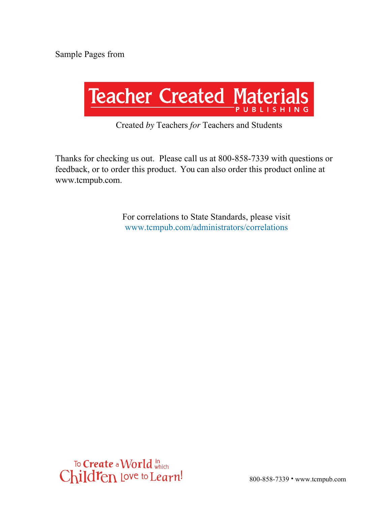

#### Created *by* Teachers *for* Teachers and Students

Thanks for checking us out. Please call us at 800-858-7339 with questions or feedback, or to order this product. You can also order this product online at www.tcmpub.com.

> For correlations to State Standards, please visit www.tcmpub.com/administrators/correlations

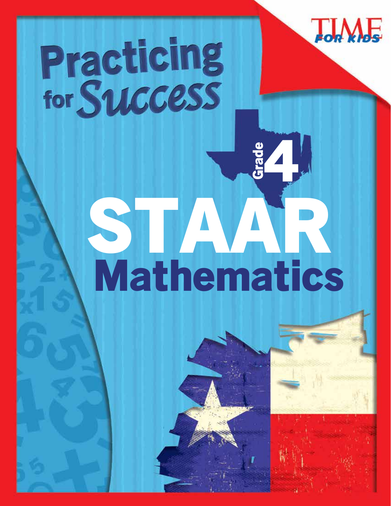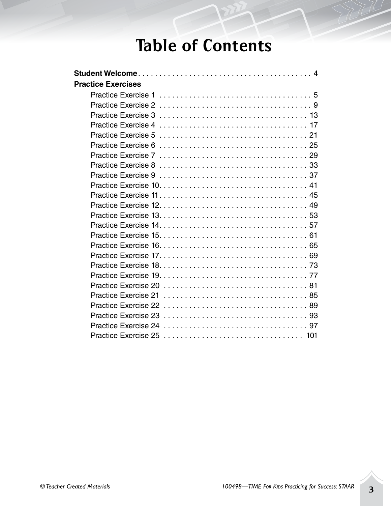# Table of Contents

| <b>Practice Exercises</b> |
|---------------------------|
|                           |
|                           |
|                           |
|                           |
|                           |
|                           |
|                           |
|                           |
|                           |
|                           |
|                           |
|                           |
|                           |
|                           |
|                           |
|                           |
|                           |
|                           |
|                           |
|                           |
|                           |
|                           |
|                           |
|                           |
|                           |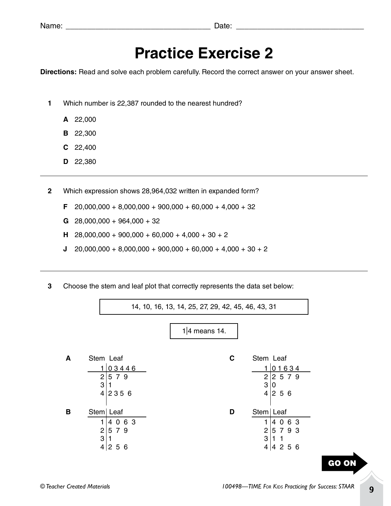| Name:<br>___ | Jate<br>- - - - |
|--------------|-----------------|
|--------------|-----------------|

# **Practice Exercise 2**

**Directions:** Read and solve each problem carefully. Record the correct answer on your answer sheet.

- **1** Which number is 22,387 rounded to the nearest hundred?
	- **A** 22,000
	- **B** 22,300
	- **C** 22,400
	- **D** 22,380
- **2** Which expression shows 28,964,032 written in expanded form?
	- **F** 20,000,000 + 8,000,000 + 900,000 + 60,000 + 4,000 + 32
	- **G** 28,000,000 + 964,000 + 32
	- **H** 28,000,000 + 900,000 + 60,000 + 4,000 + 30 + 2
	- **J**  $20,000,000 + 8,000,000 + 900,000 + 60,000 + 4,000 + 30 + 2$
- **3** Choose the stem and leaf plot that correctly represents the data set below:

14, 10, 16, 13, 14, 25, 27, 29, 42, 45, 46, 43, 31

1|4 means 14.

| А | Stem Leaf  |                             | С | Stem Leaf   |               |
|---|------------|-----------------------------|---|-------------|---------------|
|   |            | 03446                       |   |             | 01634         |
|   | 2          | 5 7 9                       |   | 2           | $ 2\;5\;7\;9$ |
|   | 3          |                             |   | 3           | 10            |
|   | 4          | 2356                        |   | 4           | $ 2\;5\;6$    |
|   |            |                             |   |             |               |
|   |            |                             |   |             |               |
| в | Stem  Leaf |                             | D | Stem   Leaf |               |
|   |            | 4063                        |   |             | 4063          |
|   | 2          | 5 7 9                       |   | 2           | 5793          |
|   | 3          |                             |   | 3           |               |
|   | 4          | 5 6<br>$\mathbf{2}^{\circ}$ |   | 4           | 4 2 5 6       |

GO ON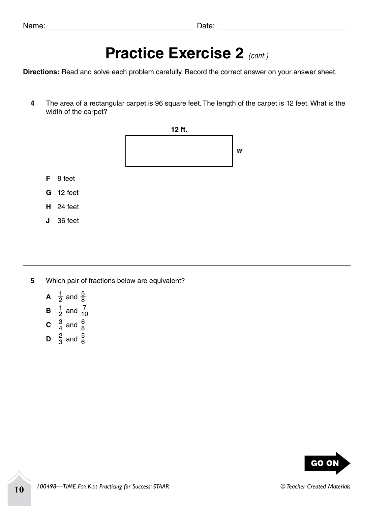| Name<br>___ | Jate<br>- - - - |
|-------------|-----------------|
|-------------|-----------------|

### **Practice Exercise 2** *(cont.)*

**Directions:** Read and solve each problem carefully. Record the correct answer on your answer sheet.

**4** The area of a rectangular carpet is 96 square feet. The length of the carpet is 12 feet. What is the width of the carpet?



- **5** Which pair of fractions below are equivalent?
	- **A**  $\frac{1}{2}$  and  $\frac{5}{8}$
	- **B**  $\frac{1}{2}$  and  $\frac{7}{10}$
	- **C**  $\frac{3}{4}$  and  $\frac{6}{8}$
	- **D**  $\frac{2}{3}$  and  $\frac{5}{6}$

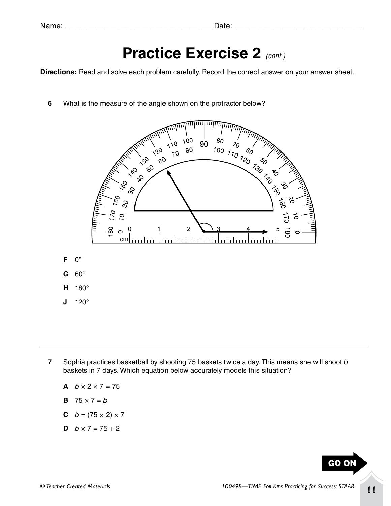| Name<br>___ | Jate<br>- - - - |
|-------------|-----------------|
|-------------|-----------------|

## **Practice Exercise 2** *(cont.)*

**Directions:** Read and solve each problem carefully. Record the correct answer on your answer sheet.

**6** What is the measure of the angle shown on the protractor below?



**J** 120°

- **7** Sophia practices basketball by shooting 75 baskets twice a day. This means she will shoot *b*  baskets in 7 days. Which equation below accurately models this situation?
	- **A**  $b \times 2 \times 7 = 75$
	- **B**  $75 \times 7 = b$
	- **C**  $b = (75 \times 2) \times 7$
	- **D**  $b \times 7 = 75 + 2$

GO ON